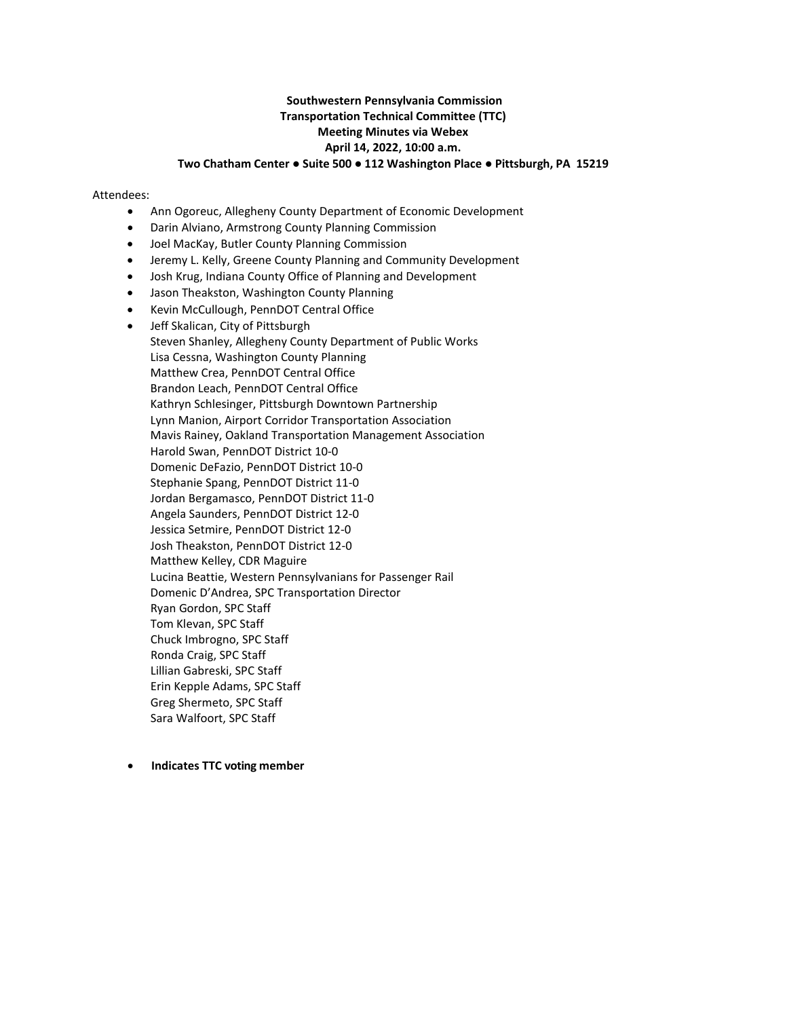## **Southwestern Pennsylvania Commission Transportation Technical Committee (TTC) Meeting Minutes via Webex April 14, 2022, 10:00 a.m. Two Chatham Center ● Suite 500 ● 112 Washington Place ● Pittsburgh, PA 15219**

#### Attendees:

- Ann Ogoreuc, Allegheny County Department of Economic Development
- Darin Alviano, Armstrong County Planning Commission
- Joel MacKay, Butler County Planning Commission
- Jeremy L. Kelly, Greene County Planning and Community Development
- Josh Krug, Indiana County Office of Planning and Development
- Jason Theakston, Washington County Planning
- Kevin McCullough, PennDOT Central Office
- Jeff Skalican, City of Pittsburgh Steven Shanley, Allegheny County Department of Public Works Lisa Cessna, Washington County Planning Matthew Crea, PennDOT Central Office Brandon Leach, PennDOT Central Office Kathryn Schlesinger, Pittsburgh Downtown Partnership Lynn Manion, Airport Corridor Transportation Association Mavis Rainey, Oakland Transportation Management Association Harold Swan, PennDOT District 10-0 Domenic DeFazio, PennDOT District 10-0 Stephanie Spang, PennDOT District 11-0 Jordan Bergamasco, PennDOT District 11-0 Angela Saunders, PennDOT District 12-0 Jessica Setmire, PennDOT District 12-0 Josh Theakston, PennDOT District 12-0 Matthew Kelley, CDR Maguire Lucina Beattie, Western Pennsylvanians for Passenger Rail Domenic D'Andrea, SPC Transportation Director Ryan Gordon, SPC Staff Tom Klevan, SPC Staff Chuck Imbrogno, SPC Staff Ronda Craig, SPC Staff Lillian Gabreski, SPC Staff Erin Kepple Adams, SPC Staff Greg Shermeto, SPC Staff Sara Walfoort, SPC Staff
- • **Indicates TTC voting member**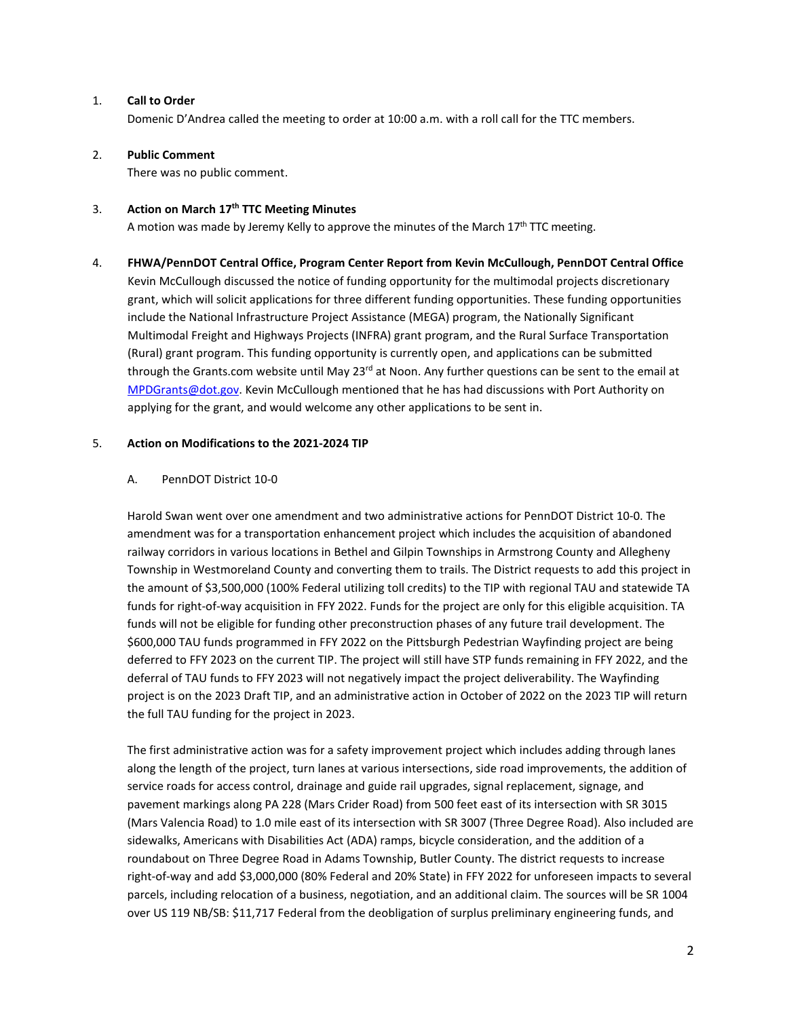#### 1. **Call to Order**

Domenic D'Andrea called the meeting to order at 10:00 a.m. with a roll call for the TTC members.

## 2. **Public Comment**

There was no public comment.

## 3. **Action on March 17th TTC Meeting Minutes**

A motion was made by Jeremy Kelly to approve the minutes of the March  $17<sup>th</sup> TTC$  meeting.

4. **FHWA/PennDOT Central Office, Program Center Report from Kevin McCullough, PennDOT Central Office** Kevin McCullough discussed the notice of funding opportunity for the multimodal projects discretionary grant, which will solicit applications for three different funding opportunities. These funding opportunities include the National Infrastructure Project Assistance (MEGA) program, the Nationally Significant Multimodal Freight and Highways Projects (INFRA) grant program, and the Rural Surface Transportation (Rural) grant program. This funding opportunity is currently open, and applications can be submitted through the Grants.com website until May 23<sup>rd</sup> at Noon. Any further questions can be sent to the email at [MPDGrants@dot.gov.](mailto:MPDGrants@dot.gov) Kevin McCullough mentioned that he has had discussions with Port Authority on applying for the grant, and would welcome any other applications to be sent in.

## 5. **Action on Modifications to the 2021-2024 TIP**

## A. PennDOT District 10-0

Harold Swan went over one amendment and two administrative actions for PennDOT District 10-0. The amendment was for a transportation enhancement project which includes the acquisition of abandoned railway corridors in various locations in Bethel and Gilpin Townships in Armstrong County and Allegheny Township in Westmoreland County and converting them to trails. The District requests to add this project in the amount of \$3,500,000 (100% Federal utilizing toll credits) to the TIP with regional TAU and statewide TA funds for right-of-way acquisition in FFY 2022. Funds for the project are only for this eligible acquisition. TA funds will not be eligible for funding other preconstruction phases of any future trail development. The \$600,000 TAU funds programmed in FFY 2022 on the Pittsburgh Pedestrian Wayfinding project are being deferred to FFY 2023 on the current TIP. The project will still have STP funds remaining in FFY 2022, and the deferral of TAU funds to FFY 2023 will not negatively impact the project deliverability. The Wayfinding project is on the 2023 Draft TIP, and an administrative action in October of 2022 on the 2023 TIP will return the full TAU funding for the project in 2023.

The first administrative action was for a safety improvement project which includes adding through lanes along the length of the project, turn lanes at various intersections, side road improvements, the addition of service roads for access control, drainage and guide rail upgrades, signal replacement, signage, and pavement markings along PA 228 (Mars Crider Road) from 500 feet east of its intersection with SR 3015 (Mars Valencia Road) to 1.0 mile east of its intersection with SR 3007 (Three Degree Road). Also included are sidewalks, Americans with Disabilities Act (ADA) ramps, bicycle consideration, and the addition of a roundabout on Three Degree Road in Adams Township, Butler County. The district requests to increase right-of-way and add \$3,000,000 (80% Federal and 20% State) in FFY 2022 for unforeseen impacts to several parcels, including relocation of a business, negotiation, and an additional claim. The sources will be SR 1004 over US 119 NB/SB: \$11,717 Federal from the deobligation of surplus preliminary engineering funds, and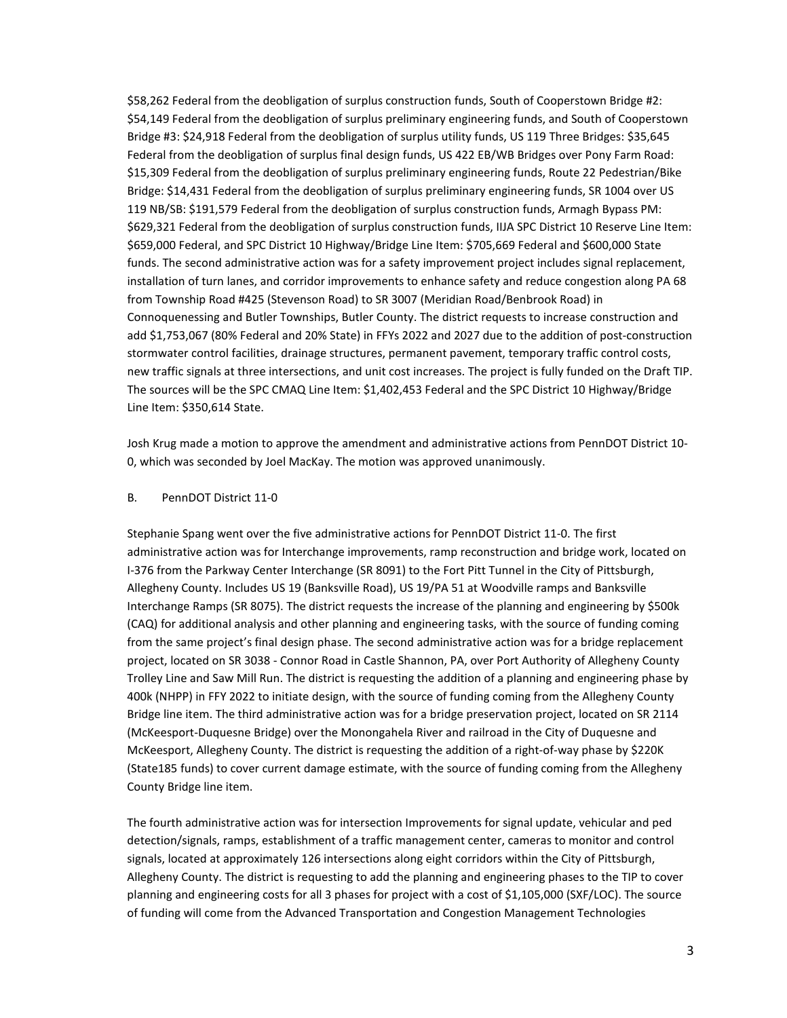\$58,262 Federal from the deobligation of surplus construction funds, South of Cooperstown Bridge #2: \$54,149 Federal from the deobligation of surplus preliminary engineering funds, and South of Cooperstown Bridge #3: \$24,918 Federal from the deobligation of surplus utility funds, US 119 Three Bridges: \$35,645 Federal from the deobligation of surplus final design funds, US 422 EB/WB Bridges over Pony Farm Road: \$15,309 Federal from the deobligation of surplus preliminary engineering funds, Route 22 Pedestrian/Bike Bridge: \$14,431 Federal from the deobligation of surplus preliminary engineering funds, SR 1004 over US 119 NB/SB: \$191,579 Federal from the deobligation of surplus construction funds, Armagh Bypass PM: \$629,321 Federal from the deobligation of surplus construction funds, IIJA SPC District 10 Reserve Line Item: \$659,000 Federal, and SPC District 10 Highway/Bridge Line Item: \$705,669 Federal and \$600,000 State funds. The second administrative action was for a safety improvement project includes signal replacement, installation of turn lanes, and corridor improvements to enhance safety and reduce congestion along PA 68 from Township Road #425 (Stevenson Road) to SR 3007 (Meridian Road/Benbrook Road) in Connoquenessing and Butler Townships, Butler County. The district requests to increase construction and add \$1,753,067 (80% Federal and 20% State) in FFYs 2022 and 2027 due to the addition of post-construction stormwater control facilities, drainage structures, permanent pavement, temporary traffic control costs, new traffic signals at three intersections, and unit cost increases. The project is fully funded on the Draft TIP. The sources will be the SPC CMAQ Line Item: \$1,402,453 Federal and the SPC District 10 Highway/Bridge Line Item: \$350,614 State.

Josh Krug made a motion to approve the amendment and administrative actions from PennDOT District 10- 0, which was seconded by Joel MacKay. The motion was approved unanimously.

#### B. PennDOT District 11-0

Stephanie Spang went over the five administrative actions for PennDOT District 11-0. The first administrative action was for Interchange improvements, ramp reconstruction and bridge work, located on I-376 from the Parkway Center Interchange (SR 8091) to the Fort Pitt Tunnel in the City of Pittsburgh, Allegheny County. Includes US 19 (Banksville Road), US 19/PA 51 at Woodville ramps and Banksville Interchange Ramps (SR 8075). The district requests the increase of the planning and engineering by \$500k (CAQ) for additional analysis and other planning and engineering tasks, with the source of funding coming from the same project's final design phase. The second administrative action was for a bridge replacement project, located on SR 3038 - Connor Road in Castle Shannon, PA, over Port Authority of Allegheny County Trolley Line and Saw Mill Run. The district is requesting the addition of a planning and engineering phase by 400k (NHPP) in FFY 2022 to initiate design, with the source of funding coming from the Allegheny County Bridge line item. The third administrative action was for a bridge preservation project, located on SR 2114 (McKeesport-Duquesne Bridge) over the Monongahela River and railroad in the City of Duquesne and McKeesport, Allegheny County. The district is requesting the addition of a right-of-way phase by \$220K (State185 funds) to cover current damage estimate, with the source of funding coming from the Allegheny County Bridge line item.

The fourth administrative action was for intersection Improvements for signal update, vehicular and ped detection/signals, ramps, establishment of a traffic management center, cameras to monitor and control signals, located at approximately 126 intersections along eight corridors within the City of Pittsburgh, Allegheny County. The district is requesting to add the planning and engineering phases to the TIP to cover planning and engineering costs for all 3 phases for project with a cost of \$1,105,000 (SXF/LOC). The source of funding will come from the Advanced Transportation and Congestion Management Technologies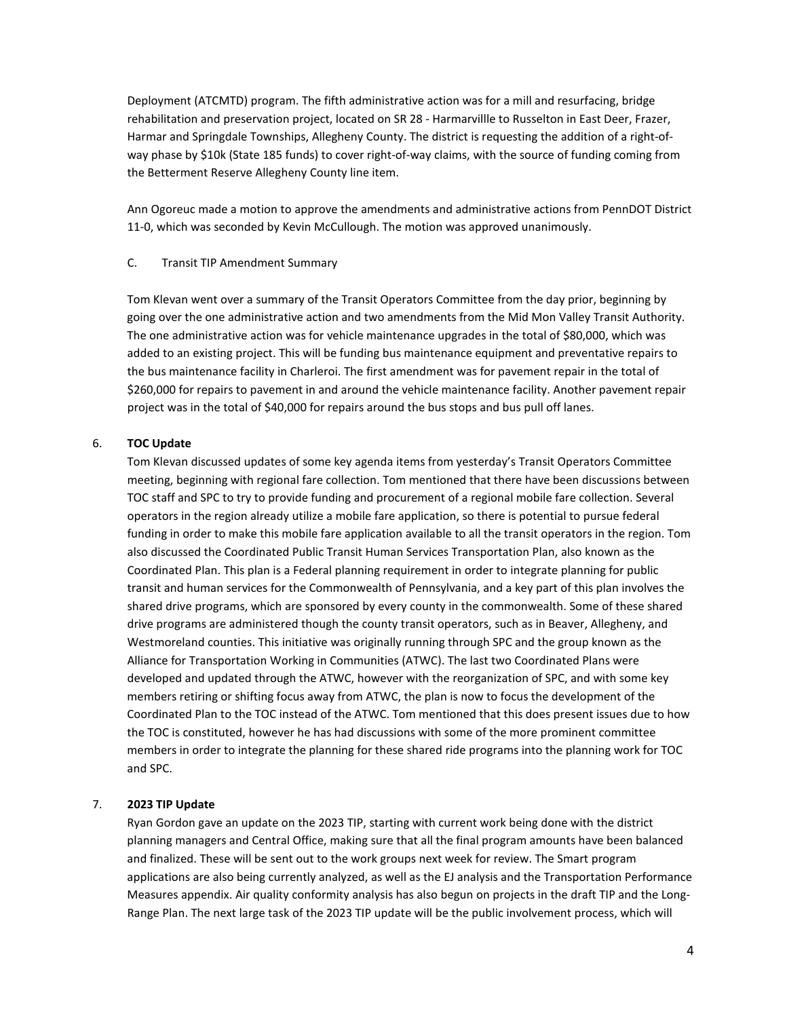Deployment (ATCMTD) program. The fifth administrative action was for a mill and resurfacing, bridge rehabilitation and preservation project, located on SR 28 - Harmarvillle to Russelton in East Deer, Frazer, Harmar and Springdale Townships, Allegheny County. The district is requesting the addition of a right-ofway phase by \$10k (State 185 funds) to cover right-of-way claims, with the source of funding coming from the Betterment Reserve Allegheny County line item.

Ann Ogoreuc made a motion to approve the amendments and administrative actions from PennDOT District 11-0, which was seconded by Kevin McCullough. The motion was approved unanimously.

#### C. Transit TIP Amendment Summary

Tom Klevan went over a summary of the Transit Operators Committee from the day prior, beginning by going over the one administrative action and two amendments from the Mid Mon Valley Transit Authority. The one administrative action was for vehicle maintenance upgrades in the total of \$80,000, which was added to an existing project. This will be funding bus maintenance equipment and preventative repairs to the bus maintenance facility in Charleroi. The first amendment was for pavement repair in the total of \$260,000 for repairs to pavement in and around the vehicle maintenance facility. Another pavement repair project was in the total of \$40,000 for repairs around the bus stops and bus pull off lanes.

## 6. **TOC Update**

Tom Klevan discussed updates of some key agenda items from yesterday's Transit Operators Committee meeting, beginning with regional fare collection. Tom mentioned that there have been discussions between TOC staff and SPC to try to provide funding and procurement of a regional mobile fare collection. Several operators in the region already utilize a mobile fare application, so there is potential to pursue federal funding in order to make this mobile fare application available to all the transit operators in the region. Tom also discussed the Coordinated Public Transit Human Services Transportation Plan, also known as the Coordinated Plan. This plan is a Federal planning requirement in order to integrate planning for public transit and human services for the Commonwealth of Pennsylvania, and a key part of this plan involves the shared drive programs, which are sponsored by every county in the commonwealth. Some of these shared drive programs are administered though the county transit operators, such as in Beaver, Allegheny, and Westmoreland counties. This initiative was originally running through SPC and the group known as the Alliance for Transportation Working in Communities (ATWC). The last two Coordinated Plans were developed and updated through the ATWC, however with the reorganization of SPC, and with some key members retiring or shifting focus away from ATWC, the plan is now to focus the development of the Coordinated Plan to the TOC instead of the ATWC. Tom mentioned that this does present issues due to how the TOC is constituted, however he has had discussions with some of the more prominent committee members in order to integrate the planning for these shared ride programs into the planning work for TOC and SPC.

## 7. **2023 TIP Update**

Ryan Gordon gave an update on the 2023 TIP, starting with current work being done with the district planning managers and Central Office, making sure that all the final program amounts have been balanced and finalized. These will be sent out to the work groups next week for review. The Smart program applications are also being currently analyzed, as well as the EJ analysis and the Transportation Performance Measures appendix. Air quality conformity analysis has also begun on projects in the draft TIP and the Long-Range Plan. The next large task of the 2023 TIP update will be the public involvement process, which will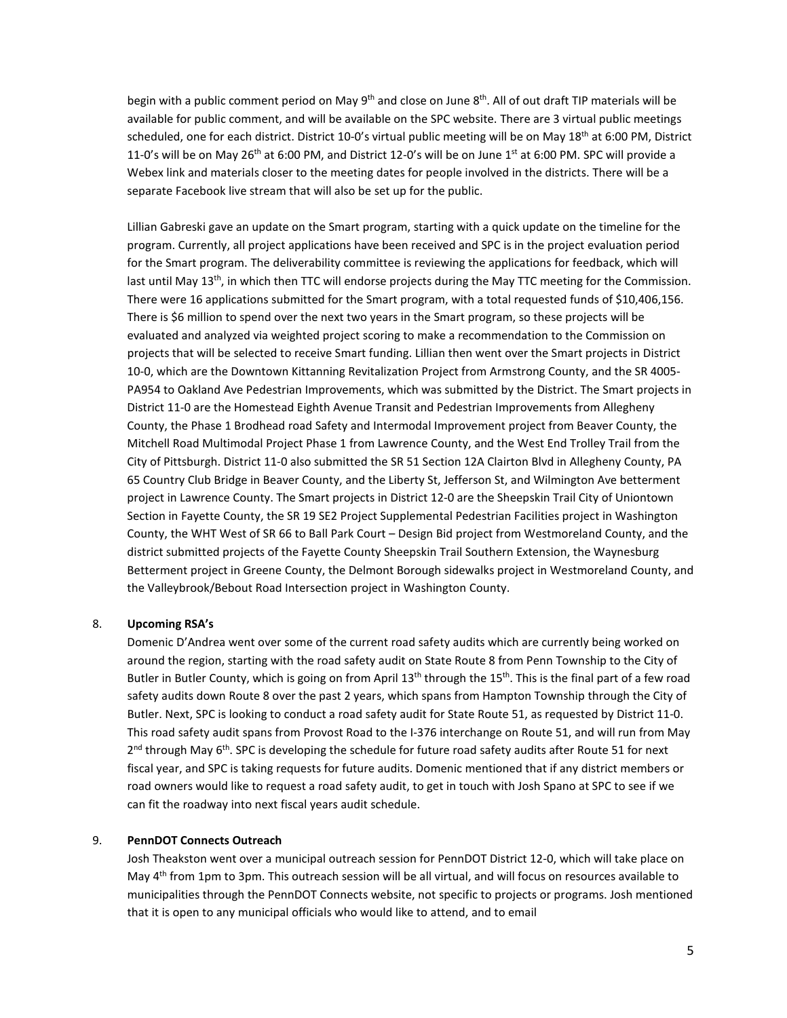begin with a public comment period on May 9<sup>th</sup> and close on June 8<sup>th</sup>. All of out draft TIP materials will be available for public comment, and will be available on the SPC website. There are 3 virtual public meetings scheduled, one for each district. District 10-0's virtual public meeting will be on May 18<sup>th</sup> at 6:00 PM, District 11-0's will be on May 26<sup>th</sup> at 6:00 PM, and District 12-0's will be on June 1<sup>st</sup> at 6:00 PM. SPC will provide a Webex link and materials closer to the meeting dates for people involved in the districts. There will be a separate Facebook live stream that will also be set up for the public.

Lillian Gabreski gave an update on the Smart program, starting with a quick update on the timeline for the program. Currently, all project applications have been received and SPC is in the project evaluation period for the Smart program. The deliverability committee is reviewing the applications for feedback, which will last until May 13<sup>th</sup>, in which then TTC will endorse projects during the May TTC meeting for the Commission. There were 16 applications submitted for the Smart program, with a total requested funds of \$10,406,156. There is \$6 million to spend over the next two years in the Smart program, so these projects will be evaluated and analyzed via weighted project scoring to make a recommendation to the Commission on projects that will be selected to receive Smart funding. Lillian then went over the Smart projects in District 10-0, which are the Downtown Kittanning Revitalization Project from Armstrong County, and the SR 4005- PA954 to Oakland Ave Pedestrian Improvements, which was submitted by the District. The Smart projects in District 11-0 are the Homestead Eighth Avenue Transit and Pedestrian Improvements from Allegheny County, the Phase 1 Brodhead road Safety and Intermodal Improvement project from Beaver County, the Mitchell Road Multimodal Project Phase 1 from Lawrence County, and the West End Trolley Trail from the City of Pittsburgh. District 11-0 also submitted the SR 51 Section 12A Clairton Blvd in Allegheny County, PA 65 Country Club Bridge in Beaver County, and the Liberty St, Jefferson St, and Wilmington Ave betterment project in Lawrence County. The Smart projects in District 12-0 are the Sheepskin Trail City of Uniontown Section in Fayette County, the SR 19 SE2 Project Supplemental Pedestrian Facilities project in Washington County, the WHT West of SR 66 to Ball Park Court – Design Bid project from Westmoreland County, and the district submitted projects of the Fayette County Sheepskin Trail Southern Extension, the Waynesburg Betterment project in Greene County, the Delmont Borough sidewalks project in Westmoreland County, and the Valleybrook/Bebout Road Intersection project in Washington County.

#### 8. **Upcoming RSA's**

Domenic D'Andrea went over some of the current road safety audits which are currently being worked on around the region, starting with the road safety audit on State Route 8 from Penn Township to the City of Butler in Butler County, which is going on from April 13<sup>th</sup> through the 15<sup>th</sup>. This is the final part of a few road safety audits down Route 8 over the past 2 years, which spans from Hampton Township through the City of Butler. Next, SPC is looking to conduct a road safety audit for State Route 51, as requested by District 11-0. This road safety audit spans from Provost Road to the I-376 interchange on Route 51, and will run from May 2<sup>nd</sup> through May 6<sup>th</sup>. SPC is developing the schedule for future road safety audits after Route 51 for next fiscal year, and SPC is taking requests for future audits. Domenic mentioned that if any district members or road owners would like to request a road safety audit, to get in touch with Josh Spano at SPC to see if we can fit the roadway into next fiscal years audit schedule.

#### 9. **PennDOT Connects Outreach**

Josh Theakston went over a municipal outreach session for PennDOT District 12-0, which will take place on May 4<sup>th</sup> from 1pm to 3pm. This outreach session will be all virtual, and will focus on resources available to municipalities through the PennDOT Connects website, not specific to projects or programs. Josh mentioned that it is open to any municipal officials who would like to attend, and to email